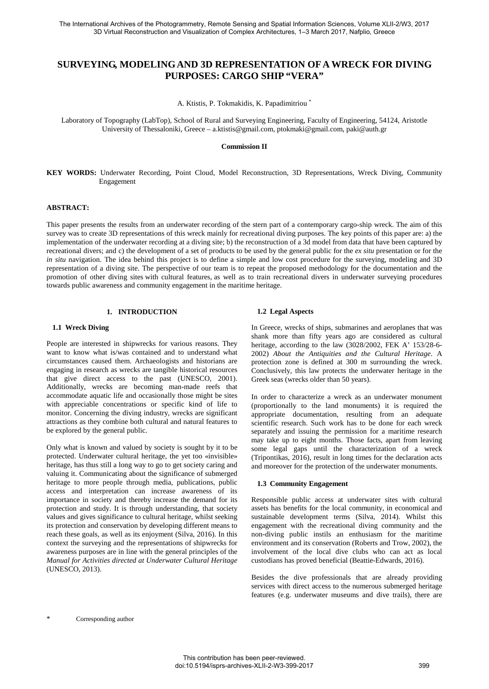# **SURVEYING, MODELING AND 3D REPRESENTATION OF A WRECK FOR DIVING PURPOSES: CARGO SHIP "VERA"**

A. Ktistis, P. Tokmakidis, K. Papadimitriou [\\*](#page-0-0)

Laboratory of Topography (LabTop), School of Rural and Surveying Engineering, Faculty of Engineering, 54124, Aristotle University of Thessaloniki, Greece – a.ktistis@gmail.com, ptokmaki@gmail.com, paki@auth.gr

#### **Commission II**

**KEY WORDS:** Underwater Recording, Point Cloud, Model Reconstruction, 3D Representations, Wreck Diving, Community Engagement

#### **ABSTRACT:**

This paper presents the results from an underwater recording of the stern part of a contemporary cargo-ship wreck. The aim of this survey was to create 3D representations of this wreck mainly for recreational diving purposes. The key points of this paper are: a) the implementation of the underwater recording at a diving site; b) the reconstruction of a 3d model from data that have been captured by recreational divers; and c) the development of a set of products to be used by the general public for the *ex situ* presentation or for the *in situ* navigation. The idea behind this project is to define a simple and low cost procedure for the surveying, modeling and 3D representation of a diving site. The perspective of our team is to repeat the proposed methodology for the documentation and the promotion of other diving sites with cultural features, as well as to train recreational divers in underwater surveying procedures towards public awareness and community engagement in the maritime heritage.

# **1. INTRODUCTION**

#### **1.1 Wreck Diving**

People are interested in shipwrecks for various reasons. They want to know what is/was contained and to understand what circumstances caused them. Archaeologists and historians are engaging in research as wrecks are tangible historical resources that give direct access to the past (UNESCO, 2001). Additionally, wrecks are becoming man-made reefs that accommodate aquatic life and occasionally those might be sites with appreciable concentrations or specific kind of life to monitor. Concerning the diving industry, wrecks are significant attractions as they combine both cultural and natural features to be explored by the general public.

<span id="page-0-0"></span>Only what is known and valued by society is sought by it to be protected. Underwater cultural heritage, the yet too «invisible» heritage, has thus still a long way to go to get society caring and valuing it. Communicating about the significance of submerged heritage to more people through media, publications, public access and interpretation can increase awareness of its importance in society and thereby increase the demand for its protection and study. It is through understanding, that society values and gives significance to cultural heritage, whilst seeking its protection and conservation by developing different means to reach these goals, as well as its enjoyment (Silva, 2016). In this context the surveying and the representations of shipwrecks for awareness purposes are in line with the general principles of the *Manual for Activities directed at Underwater Cultural Heritage* (UNESCO, 2013).

#### **1.2 Legal Aspects**

In Greece, wrecks of ships, submarines and aeroplanes that was shank more than fifty years ago are considered as cultural heritage, according to the law (3028/2002, FEK A' 153/28-6- 2002) *About the Antiquities and the Cultural Heritage*. A protection zone is defined at 300 m surrounding the wreck. Conclusively, this law protects the underwater heritage in the Greek seas (wrecks older than 50 years).

In order to characterize a wreck as an underwater monument (proportionally to the land monuments) it is required the appropriate documentation, resulting from an adequate scientific research. Such work has to be done for each wreck separately and issuing the permission for a maritime research may take up to eight months. Those facts, apart from leaving some legal gaps until the characterization of a wreck (Tripontikas, 2016), result in long times for the declaration acts and moreover for the protection of the underwater monuments.

#### **1.3 Community Engagement**

Responsible public access at underwater sites with cultural assets has benefits for the local community, in economical and sustainable development terms (Silva, 2014). Whilst this engagement with the recreational diving community and the non-diving public instils an enthusiasm for the maritime environment and its conservation (Roberts and Trow, 2002), the involvement of the local dive clubs who can act as local custodians has proved beneficial (Beattie-Edwards, 2016).

Besides the dive professionals that are already providing services with direct access to the numerous submerged heritage features (e.g. underwater museums and dive trails), there are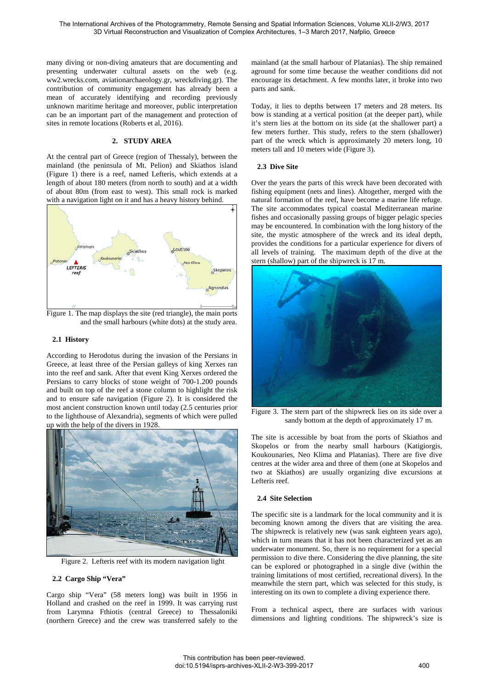many diving or non-diving amateurs that are documenting and presenting underwater cultural assets on the web (e.g. ww2.wrecks.com, aviationarchaeology.gr, wreckdiving.gr). The contribution of community engagement has already been a mean of accurately identifying and recording previously unknown maritime heritage and moreover, public interpretation can be an important part of the management and protection of sites in remote locations (Roberts et al, 2016).

# **2. STUDY AREA**

At the central part of Greece (region of Thessaly), between the mainland (the peninsula of Mt. Pelion) and Skiathos island (Figure 1) there is a reef, named Lefteris, which extends at a length of about 180 meters (from north to south) and at a width of about 80m (from east to west). This small rock is marked with a navigation light on it and has a heavy history behind.



Figure 1. The map displays the site (red triangle), the main ports and the small harbours (white dots) at the study area.

### **2.1 History**

According to Herodotus during the invasion of the Persians in Greece, at least three of the Persian galleys of king Xerxes ran into the reef and sank. After that event King Xerxes ordered the Persians to carry blocks of stone weight of 700-1.200 pounds and built on top of the reef a stone column to highlight the risk and to ensure safe navigation (Figure 2). It is considered the most ancient construction known until today (2.5 centuries prior to the lighthouse of Alexandria), segments of which were pulled up with the help of the divers in 1928.



Figure 2. Lefteris reef with its modern navigation light

#### **2.2 Cargo Ship "Vera"**

Cargo ship "Vera" (58 meters long) was built in 1956 in Holland and crashed on the reef in 1999. It was carrying rust from Larymna Fthiotis (central Greece) to Thessaloniki (northern Greece) and the crew was transferred safely to the

mainland (at the small harbour of Platanias). The ship remained aground for some time because the weather conditions did not encourage its detachment. A few months later, it broke into two parts and sank.

Today, it lies to depths between 17 meters and 28 meters. Its bow is standing at a vertical position (at the deeper part), while it's stern lies at the bottom on its side (at the shallower part) a few meters further. This study, refers to the stern (shallower) part of the wreck which is approximately 20 meters long, 10 meters tall and 10 meters wide (Figure 3).

#### **2.3 Dive Site**

Over the years the parts of this wreck have been decorated with fishing equipment (nets and lines). Altogether, merged with the natural formation of the reef, have become a marine life refuge. The site accommodates typical coastal Mediterranean marine fishes and occasionally passing groups of bigger pelagic species may be encountered. In combination with the long history of the site, the mystic atmosphere of the wreck and its ideal depth, provides the conditions for a particular experience for divers of all levels of training. The maximum depth of the dive at the stern (shallow) part of the shipwreck is 17 m.



Figure 3. The stern part of the shipwreck lies on its side over a sandy bottom at the depth of approximately 17 m.

The site is accessible by boat from the ports of Skiathos and Skopelos or from the nearby small harbours (Katigiorgis, Koukounaries, Neo Klima and Platanias). There are five dive centres at the wider area and three of them (one at Skopelos and two at Skiathos) are usually organizing dive excursions at Lefteris reef.

#### **2.4 Site Selection**

The specific site is a landmark for the local community and it is becoming known among the divers that are visiting the area. The shipwreck is relatively new (was sank eighteen years ago), which in turn means that it has not been characterized yet as an underwater monument. So, there is no requirement for a special permission to dive there. Considering the dive planning, the site can be explored or photographed in a single dive (within the training limitations of most certified, recreational divers). In the meanwhile the stern part, which was selected for this study, is interesting on its own to complete a diving experience there.

From a technical aspect, there are surfaces with various dimensions and lighting conditions. The shipwreck's size is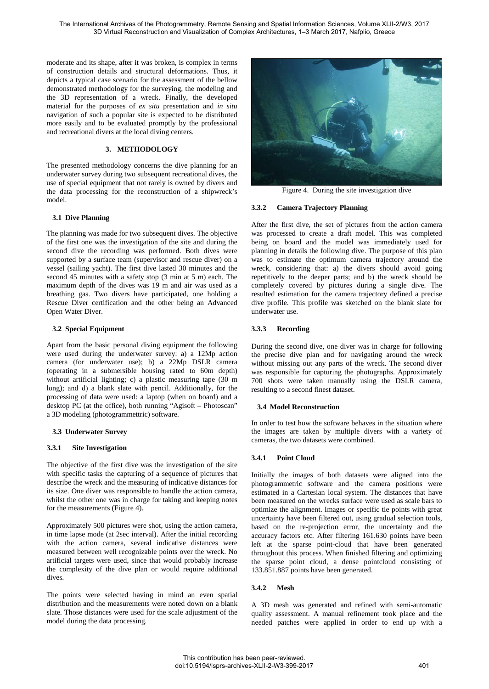moderate and its shape, after it was broken, is complex in terms of construction details and structural deformations. Thus, it depicts a typical case scenario for the assessment of the bellow demonstrated methodology for the surveying, the modeling and the 3D representation of a wreck. Finally, the developed material for the purposes of *ex situ* presentation and *in situ* navigation of such a popular site is expected to be distributed more easily and to be evaluated promptly by the professional and recreational divers at the local diving centers.

# **3. METHODOLOGY**

The presented methodology concerns the dive planning for an underwater survey during two subsequent recreational dives, the use of special equipment that not rarely is owned by divers and the data processing for the reconstruction of a shipwreck's model.

### **3.1 Dive Planning**

The planning was made for two subsequent dives. The objective of the first one was the investigation of the site and during the second dive the recording was performed. Both dives were supported by a surface team (supervisor and rescue diver) on a vessel (sailing yacht). The first dive lasted 30 minutes and the second 45 minutes with a safety stop (3 min at 5 m) each. The maximum depth of the dives was 19 m and air was used as a breathing gas. Two divers have participated, one holding a Rescue Diver certification and the other being an Advanced Open Water Diver.

### **3.2 Special Equipment**

Apart from the basic personal diving equipment the following were used during the underwater survey: a) a 12Mp action camera (for underwater use); b) a 22Mp DSLR camera (operating in a submersible housing rated to 60m depth) without artificial lighting; c) a plastic measuring tape (30 m long); and d) a blank slate with pencil. Additionally, for the processing of data were used: a laptop (when on board) and a desktop PC (at the office), both running "Agisoft – Photoscan" a 3D modeling (photogrammettric) software.

### **3.3 Underwater Survey**

# **3.3.1 Site Investigation**

The objective of the first dive was the investigation of the site with specific tasks the capturing of a sequence of pictures that describe the wreck and the measuring of indicative distances for its size. One diver was responsible to handle the action camera, whilst the other one was in charge for taking and keeping notes for the measurements (Figure 4).

Approximately 500 pictures were shot, using the action camera, in time lapse mode (at 2sec interval). After the initial recording with the action camera, several indicative distances were measured between well recognizable points over the wreck. No artificial targets were used, since that would probably increase the complexity of the dive plan or would require additional dives.

The points were selected having in mind an even spatial distribution and the measurements were noted down on a blank slate. Those distances were used for the scale adjustment of the model during the data processing.



Figure 4. During the site investigation dive

### **3.3.2 Camera Trajectory Planning**

After the first dive, the set of pictures from the action camera was processed to create a draft model. This was completed being on board and the model was immediately used for planning in details the following dive. The purpose of this plan was to estimate the optimum camera trajectory around the wreck, considering that: a) the divers should avoid going repetitively to the deeper parts; and b) the wreck should be completely covered by pictures during a single dive. The resulted estimation for the camera trajectory defined a precise dive profile. This profile was sketched on the blank slate for underwater use.

### **3.3.3 Recording**

During the second dive, one diver was in charge for following the precise dive plan and for navigating around the wreck without missing out any parts of the wreck. The second diver was responsible for capturing the photographs. Approximately 700 shots were taken manually using the DSLR camera, resulting to a second finest dataset.

### **3.4 Model Reconstruction**

In order to test how the software behaves in the situation where the images are taken by multiple divers with a variety of cameras, the two datasets were combined.

### **3.4.1 Point Cloud**

Initially the images of both datasets were aligned into the photogrammetric software and the camera positions were estimated in a Cartesian local system. The distances that have been measured on the wrecks surface were used as scale bars to optimize the alignment. Images or specific tie points with great uncertainty have been filtered out, using gradual selection tools, based on the re-projection error, the uncertainty and the accuracy factors etc. After filtering 161.630 points have been left at the sparse point-cloud that have been generated throughout this process. When finished filtering and optimizing the sparse point cloud, a dense pointcloud consisting of 133.851.887 points have been generated.

### **3.4.2 Mesh**

A 3D mesh was generated and refined with semi-automatic quality assessment. A manual refinement took place and the needed patches were applied in order to end up with a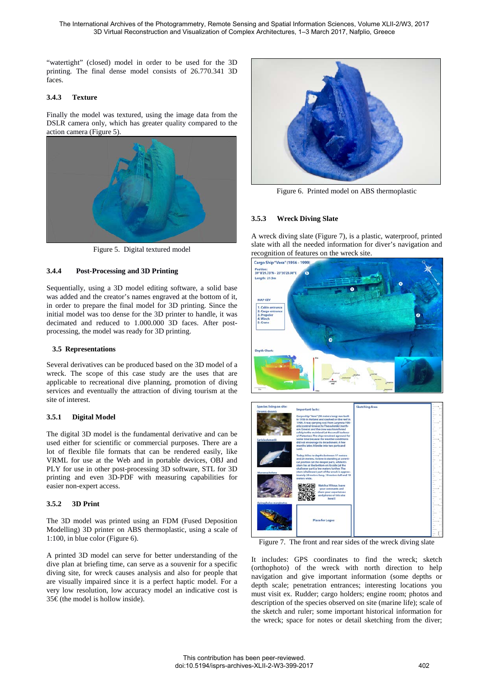"watertight" (closed) model in order to be used for the 3D printing. The final dense model consists of 26.770.341 3D faces.

#### **3.4.3 Texture**

Finally the model was textured, using the image data from the DSLR camera only, which has greater quality compared to the action camera (Figure 5).



Figure 5. Digital textured model

# **3.4.4 Post-Processing and 3D Printing**

Sequentially, using a 3D model editing software, a solid base was added and the creator's names engraved at the bottom of it, in order to prepare the final model for 3D printing. Since the initial model was too dense for the 3D printer to handle, it was decimated and reduced to 1.000.000 3D faces. After postprocessing, the model was ready for 3D printing.

## **3.5 Representations**

Several derivatives can be produced based on the 3D model of a wreck. The scope of this case study are the uses that are applicable to recreational dive planning, promotion of diving services and eventually the attraction of diving tourism at the site of interest.

### **3.5.1 Digital Model**

The digital 3D model is the fundamental derivative and can be used either for scientific or commercial purposes. There are a lot of flexible file formats that can be rendered easily, like VRML for use at the Web and in portable devices, OBJ and PLY for use in other post-processing 3D software, STL for 3D printing and even 3D-PDF with measuring capabilities for easier non-expert access.

### **3.5.2 3D Print**

The 3D model was printed using an FDM (Fused Deposition Modelling) 3D printer on ABS thermoplastic, using a scale of 1:100, in blue color (Figure 6).

A printed 3D model can serve for better understanding of the dive plan at briefing time, can serve as a souvenir for a specific diving site, for wreck causes analysis and also for people that are visually impaired since it is a perfect haptic model. For a very low resolution, low accuracy model an indicative cost is 35€ (the model is hollow inside).



Figure 6. Printed model on ABS thermoplastic

# **3.5.3 Wreck Diving Slate**

A wreck diving slate (Figure 7), is a plastic, waterproof, printed slate with all the needed information for diver's navigation and recognition of features on the wreck site.





Figure 7. The front and rear sides of the wreck diving slate

It includes: GPS coordinates to find the wreck; sketch (orthophoto) of the wreck with north direction to help navigation and give important information (some depths or depth scale; penetration entrances; interesting locations you must visit ex. Rudder; cargo holders; engine room; photos and description of the species observed on site (marine life); scale of the sketch and ruler; some important historical information for the wreck; space for notes or detail sketching from the diver;